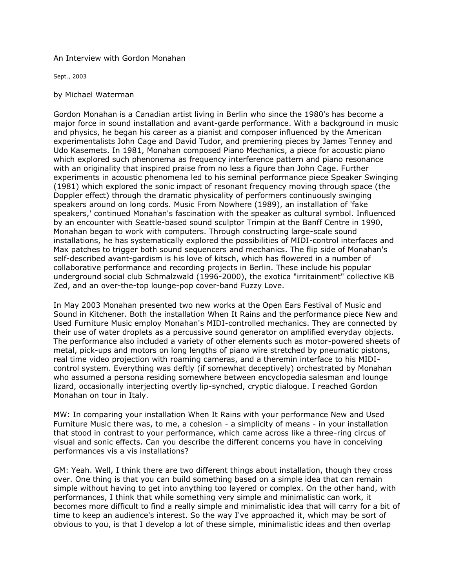## An Interview with Gordon Monahan

Sept., 2003

## by Michael Waterman

Gordon Monahan is a Canadian artist living in Berlin who since the 1980's has become a major force in sound installation and avant-garde performance. With a background in music and physics, he began his career as a pianist and composer influenced by the American experimentalists John Cage and David Tudor, and premiering pieces by James Tenney and Udo Kasemets. In 1981, Monahan composed Piano Mechanics, a piece for acoustic piano which explored such phenonema as frequency interference pattern and piano resonance with an originality that inspired praise from no less a figure than John Cage. Further experiments in acoustic phenomena led to his seminal performance piece Speaker Swinging (1981) which explored the sonic impact of resonant frequency moving through space (the Doppler effect) through the dramatic physicality of performers continuously swinging speakers around on long cords. Music From Nowhere (1989), an installation of 'fake speakers,' continued Monahan's fascination with the speaker as cultural symbol. Influenced by an encounter with Seattle-based sound sculptor Trimpin at the Banff Centre in 1990, Monahan began to work with computers. Through constructing large-scale sound installations, he has systematically explored the possibilities of MIDI-control interfaces and Max patches to trigger both sound sequencers and mechanics. The flip side of Monahan's self-described avant-gardism is his love of kitsch, which has flowered in a number of collaborative performance and recording projects in Berlin. These include his popular underground social club Schmalzwald (1996-2000), the exotica "irritainment" collective KB Zed, and an over-the-top lounge-pop cover-band Fuzzy Love.

In May 2003 Monahan presented two new works at the Open Ears Festival of Music and Sound in Kitchener. Both the installation When It Rains and the performance piece New and Used Furniture Music employ Monahan's MIDI-controlled mechanics. They are connected by their use of water droplets as a percussive sound generator on amplified everyday objects. The performance also included a variety of other elements such as motor-powered sheets of metal, pick-ups and motors on long lengths of piano wire stretched by pneumatic pistons, real time video projection with roaming cameras, and a theremin interface to his MIDIcontrol system. Everything was deftly (if somewhat deceptively) orchestrated by Monahan who assumed a persona residing somewhere between encyclopedia salesman and lounge lizard, occasionally interjecting overtly lip-synched, cryptic dialogue. I reached Gordon Monahan on tour in Italy.

MW: In comparing your installation When It Rains with your performance New and Used Furniture Music there was, to me, a cohesion - a simplicity of means - in your installation that stood in contrast to your performance, which came across like a three-ring circus of visual and sonic effects. Can you describe the different concerns you have in conceiving performances vis a vis installations?

GM: Yeah. Well, I think there are two different things about installation, though they cross over. One thing is that you can build something based on a simple idea that can remain simple without having to get into anything too layered or complex. On the other hand, with performances, I think that while something very simple and minimalistic can work, it becomes more difficult to find a really simple and minimalistic idea that will carry for a bit of time to keep an audience's interest. So the way I've approached it, which may be sort of obvious to you, is that I develop a lot of these simple, minimalistic ideas and then overlap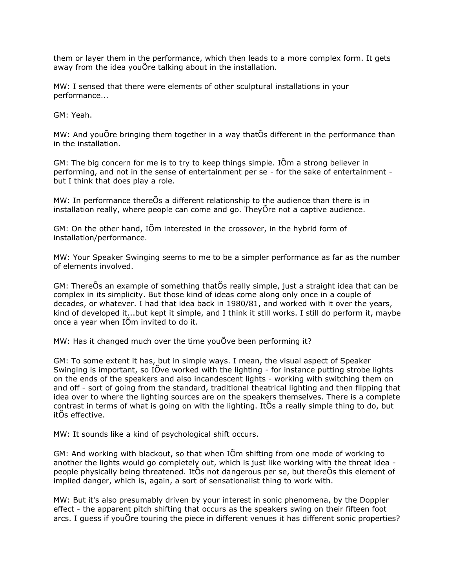them or layer them in the performance, which then leads to a more complex form. It gets away from the idea youÕre talking about in the installation.

MW: I sensed that there were elements of other sculptural installations in your performance...

GM: Yeah.

MW: And youÕre bringing them together in a way thatÕs different in the performance than in the installation.

GM: The big concern for me is to try to keep things simple. IÕm a strong believer in performing, and not in the sense of entertainment per se - for the sake of entertainment but I think that does play a role.

MW: In performance thereÕs a different relationship to the audience than there is in installation really, where people can come and go. TheyÕre not a captive audience.

GM: On the other hand, IÕm interested in the crossover, in the hybrid form of installation/performance.

MW: Your Speaker Swinging seems to me to be a simpler performance as far as the number of elements involved.

GM: ThereÕs an example of something thatÕs really simple, just a straight idea that can be complex in its simplicity. But those kind of ideas come along only once in a couple of decades, or whatever. I had that idea back in 1980/81, and worked with it over the years, kind of developed it...but kept it simple, and I think it still works. I still do perform it, maybe once a year when IÕm invited to do it.

MW: Has it changed much over the time youÕve been performing it?

GM: To some extent it has, but in simple ways. I mean, the visual aspect of Speaker Swinging is important, so IÕve worked with the lighting - for instance putting strobe lights on the ends of the speakers and also incandescent lights - working with switching them on and off - sort of going from the standard, traditional theatrical lighting and then flipping that idea over to where the lighting sources are on the speakers themselves. There is a complete contrast in terms of what is going on with the lighting. ItÕs a really simple thing to do, but itÕs effective.

MW: It sounds like a kind of psychological shift occurs.

GM: And working with blackout, so that when IÕm shifting from one mode of working to another the lights would go completely out, which is just like working with the threat idea people physically being threatened. ItÕs not dangerous per se, but thereÕs this element of implied danger, which is, again, a sort of sensationalist thing to work with.

MW: But it's also presumably driven by your interest in sonic phenomena, by the Doppler effect - the apparent pitch shifting that occurs as the speakers swing on their fifteen foot arcs. I guess if youÕre touring the piece in different venues it has different sonic properties?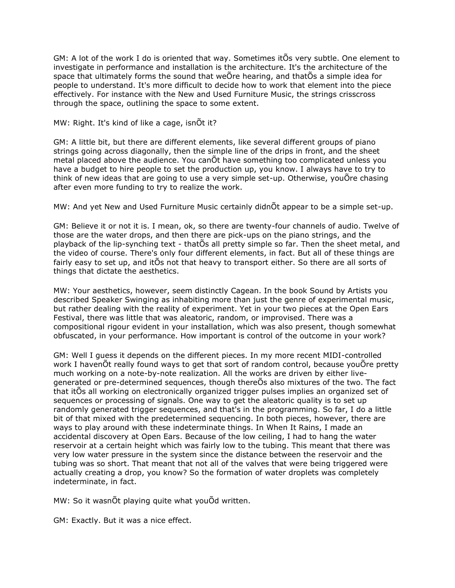GM: A lot of the work I do is oriented that way. Sometimes itÕs very subtle. One element to investigate in performance and installation is the architecture. It's the architecture of the space that ultimately forms the sound that weÕre hearing, and thatÕs a simple idea for people to understand. It's more difficult to decide how to work that element into the piece effectively. For instance with the New and Used Furniture Music, the strings crisscross through the space, outlining the space to some extent.

## MW: Right. It's kind of like a cage, isnÕt it?

GM: A little bit, but there are different elements, like several different groups of piano strings going across diagonally, then the simple line of the drips in front, and the sheet metal placed above the audience. You canÕt have something too complicated unless you have a budget to hire people to set the production up, you know. I always have to try to think of new ideas that are going to use a very simple set-up. Otherwise, youOre chasing after even more funding to try to realize the work.

MW: And yet New and Used Furniture Music certainly didnÕt appear to be a simple set-up.

GM: Believe it or not it is. I mean, ok, so there are twenty-four channels of audio. Twelve of those are the water drops, and then there are pick-ups on the piano strings, and the playback of the lip-synching text - thatÕs all pretty simple so far. Then the sheet metal, and the video of course. There's only four different elements, in fact. But all of these things are fairly easy to set up, and itÕs not that heavy to transport either. So there are all sorts of things that dictate the aesthetics.

MW: Your aesthetics, however, seem distinctly Cagean. In the book Sound by Artists you described Speaker Swinging as inhabiting more than just the genre of experimental music, but rather dealing with the reality of experiment. Yet in your two pieces at the Open Ears Festival, there was little that was aleatoric, random, or improvised. There was a compositional rigour evident in your installation, which was also present, though somewhat obfuscated, in your performance. How important is control of the outcome in your work?

GM: Well I guess it depends on the different pieces. In my more recent MIDI-controlled work I havenÕt really found ways to get that sort of random control, because youÕre pretty much working on a note-by-note realization. All the works are driven by either livegenerated or pre-determined sequences, though thereÕs also mixtures of the two. The fact that itÕs all working on electronically organized trigger pulses implies an organized set of sequences or processing of signals. One way to get the aleatoric quality is to set up randomly generated trigger sequences, and that's in the programming. So far, I do a little bit of that mixed with the predetermined sequencing. In both pieces, however, there are ways to play around with these indeterminate things. In When It Rains, I made an accidental discovery at Open Ears. Because of the low ceiling, I had to hang the water reservoir at a certain height which was fairly low to the tubing. This meant that there was very low water pressure in the system since the distance between the reservoir and the tubing was so short. That meant that not all of the valves that were being triggered were actually creating a drop, you know? So the formation of water droplets was completely indeterminate, in fact.

MW: So it wasnÕt playing quite what youÕd written.

GM: Exactly. But it was a nice effect.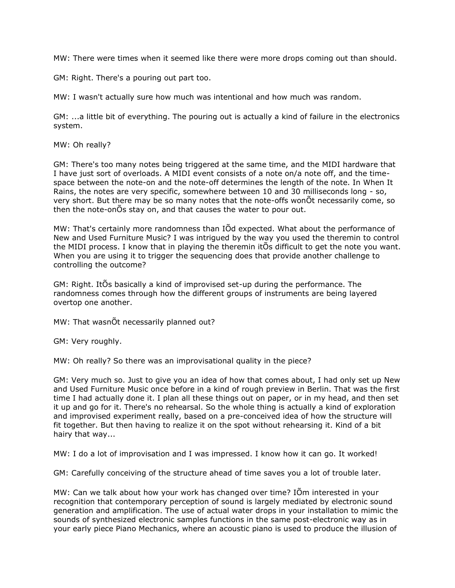MW: There were times when it seemed like there were more drops coming out than should.

GM: Right. There's a pouring out part too.

MW: I wasn't actually sure how much was intentional and how much was random.

GM: ...a little bit of everything. The pouring out is actually a kind of failure in the electronics system.

MW: Oh really?

GM: There's too many notes being triggered at the same time, and the MIDI hardware that I have just sort of overloads. A MIDI event consists of a note on/a note off, and the timespace between the note-on and the note-off determines the length of the note. In When It Rains, the notes are very specific, somewhere between 10 and 30 milliseconds long - so, very short. But there may be so many notes that the note-offs wonÕt necessarily come, so then the note-onÕs stay on, and that causes the water to pour out.

MW: That's certainly more randomness than IÕd expected. What about the performance of New and Used Furniture Music? I was intrigued by the way you used the theremin to control the MIDI process. I know that in playing the theremin itÕs difficult to get the note you want. When you are using it to trigger the sequencing does that provide another challenge to controlling the outcome?

GM: Right. ItÕs basically a kind of improvised set-up during the performance. The randomness comes through how the different groups of instruments are being layered overtop one another.

MW: That wasnÕt necessarily planned out?

GM: Very roughly.

MW: Oh really? So there was an improvisational quality in the piece?

GM: Very much so. Just to give you an idea of how that comes about, I had only set up New and Used Furniture Music once before in a kind of rough preview in Berlin. That was the first time I had actually done it. I plan all these things out on paper, or in my head, and then set it up and go for it. There's no rehearsal. So the whole thing is actually a kind of exploration and improvised experiment really, based on a pre-conceived idea of how the structure will fit together. But then having to realize it on the spot without rehearsing it. Kind of a bit hairy that way...

MW: I do a lot of improvisation and I was impressed. I know how it can go. It worked!

GM: Carefully conceiving of the structure ahead of time saves you a lot of trouble later.

MW: Can we talk about how your work has changed over time? IÕm interested in your recognition that contemporary perception of sound is largely mediated by electronic sound generation and amplification. The use of actual water drops in your installation to mimic the sounds of synthesized electronic samples functions in the same post-electronic way as in your early piece Piano Mechanics, where an acoustic piano is used to produce the illusion of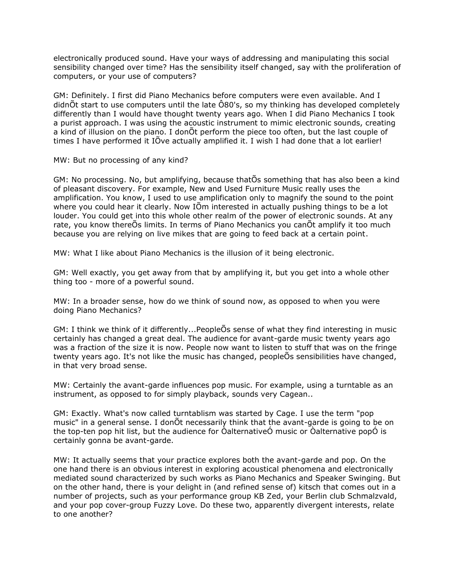electronically produced sound. Have your ways of addressing and manipulating this social sensibility changed over time? Has the sensibility itself changed, say with the proliferation of computers, or your use of computers?

GM: Definitely. I first did Piano Mechanics before computers were even available. And I didnÕt start to use computers until the late Ô80's, so my thinking has developed completely differently than I would have thought twenty years ago. When I did Piano Mechanics I took a purist approach. I was using the acoustic instrument to mimic electronic sounds, creating a kind of illusion on the piano. I donÕt perform the piece too often, but the last couple of times I have performed it IÕve actually amplified it. I wish I had done that a lot earlier!

MW: But no processing of any kind?

GM: No processing. No, but amplifying, because thatÕs something that has also been a kind of pleasant discovery. For example, New and Used Furniture Music really uses the amplification. You know, I used to use amplification only to magnify the sound to the point where you could hear it clearly. Now IÕm interested in actually pushing things to be a lot louder. You could get into this whole other realm of the power of electronic sounds. At any rate, you know thereÕs limits. In terms of Piano Mechanics you canÕt amplify it too much because you are relying on live mikes that are going to feed back at a certain point.

MW: What I like about Piano Mechanics is the illusion of it being electronic.

GM: Well exactly, you get away from that by amplifying it, but you get into a whole other thing too - more of a powerful sound.

MW: In a broader sense, how do we think of sound now, as opposed to when you were doing Piano Mechanics?

GM: I think we think of it differently...PeopleÕs sense of what they find interesting in music certainly has changed a great deal. The audience for avant-garde music twenty years ago was a fraction of the size it is now. People now want to listen to stuff that was on the fringe twenty years ago. It's not like the music has changed, peopleÕs sensibilities have changed, in that very broad sense.

MW: Certainly the avant-garde influences pop music. For example, using a turntable as an instrument, as opposed to for simply playback, sounds very Cagean..

GM: Exactly. What's now called turntablism was started by Cage. I use the term "pop music" in a general sense. I donÕt necessarily think that the avant-garde is going to be on the top-ten pop hit list, but the audience for ÒalternativeÓ music or Òalternative popÓ is certainly gonna be avant-garde.

MW: It actually seems that your practice explores both the avant-garde and pop. On the one hand there is an obvious interest in exploring acoustical phenomena and electronically mediated sound characterized by such works as Piano Mechanics and Speaker Swinging. But on the other hand, there is your delight in (and refined sense of) kitsch that comes out in a number of projects, such as your performance group KB Zed, your Berlin club Schmalzvald, and your pop cover-group Fuzzy Love. Do these two, apparently divergent interests, relate to one another?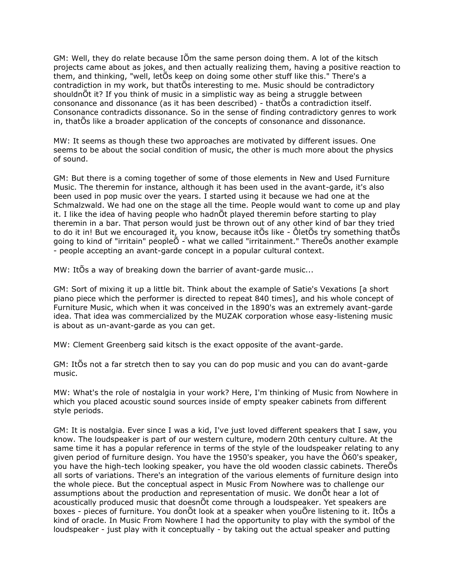GM: Well, they do relate because IÕm the same person doing them. A lot of the kitsch projects came about as jokes, and then actually realizing them, having a positive reaction to them, and thinking, "well, letÕs keep on doing some other stuff like this." There's a contradiction in my work, but thatÕs interesting to me. Music should be contradictory shouldnÕt it? If you think of music in a simplistic way as being a struggle between consonance and dissonance (as it has been described) - thatÕs a contradiction itself. Consonance contradicts dissonance. So in the sense of finding contradictory genres to work in, thatÕs like a broader application of the concepts of consonance and dissonance.

MW: It seems as though these two approaches are motivated by different issues. One seems to be about the social condition of music, the other is much more about the physics of sound.

GM: But there is a coming together of some of those elements in New and Used Furniture Music. The theremin for instance, although it has been used in the avant-garde, it's also been used in pop music over the years. I started using it because we had one at the Schmalzwald. We had one on the stage all the time. People would want to come up and play it. I like the idea of having people who hadnÕt played theremin before starting to play theremin in a bar. That person would just be thrown out of any other kind of bar they tried to do it in! But we encouraged it, you know, because itÕs like - ÔletÕs try something thatÕs going to kind of "irritain" peopleÕ - what we called "irritainment." ThereÕs another example - people accepting an avant-garde concept in a popular cultural context.

MW: ItÕs a way of breaking down the barrier of avant-garde music...

GM: Sort of mixing it up a little bit. Think about the example of Satie's Vexations [a short piano piece which the performer is directed to repeat 840 times], and his whole concept of Furniture Music, which when it was conceived in the 1890's was an extremely avant-garde idea. That idea was commercialized by the MUZAK corporation whose easy-listening music is about as un-avant-garde as you can get.

MW: Clement Greenberg said kitsch is the exact opposite of the avant-garde.

GM: ItÕs not a far stretch then to say you can do pop music and you can do avant-garde music.

MW: What's the role of nostalgia in your work? Here, I'm thinking of Music from Nowhere in which you placed acoustic sound sources inside of empty speaker cabinets from different style periods.

GM: It is nostalgia. Ever since I was a kid, I've just loved different speakers that I saw, you know. The loudspeaker is part of our western culture, modern 20th century culture. At the same time it has a popular reference in terms of the style of the loudspeaker relating to any given period of furniture design. You have the 1950's speaker, you have the Ô60's speaker, you have the high-tech looking speaker, you have the old wooden classic cabinets. ThereÕs all sorts of variations. There's an integration of the various elements of furniture design into the whole piece. But the conceptual aspect in Music From Nowhere was to challenge our assumptions about the production and representation of music. We donÕt hear a lot of acoustically produced music that doesnÕt come through a loudspeaker. Yet speakers are boxes - pieces of furniture. You donÕt look at a speaker when youÕre listening to it. ItÕs a kind of oracle. In Music From Nowhere I had the opportunity to play with the symbol of the loudspeaker - just play with it conceptually - by taking out the actual speaker and putting